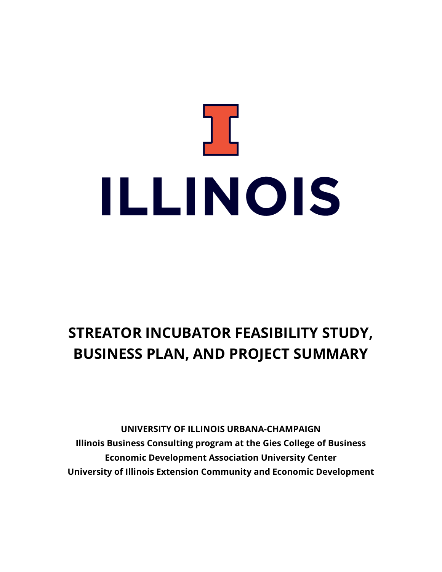# ב ( ILLINOIS

# **STREATOR INCUBATOR FEASIBILITY STUDY, BUSINESS PLAN, AND PROJECT SUMMARY**

**UNIVERSITY OF ILLINOIS URBANA-CHAMPAIGN Illinois Business Consulting program at the Gies College of Business Economic Development Association University Center University of Illinois Extension Community and Economic Development**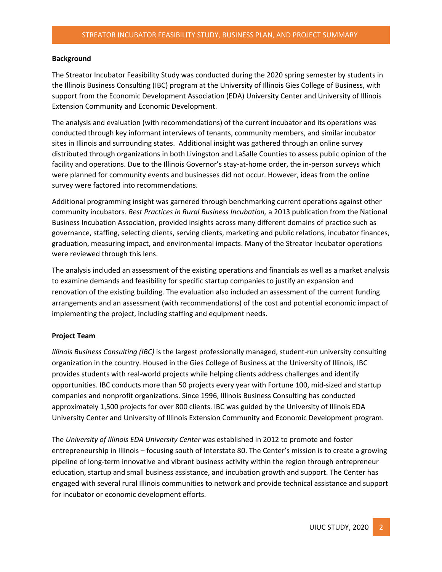### **Background**

The Streator Incubator Feasibility Study was conducted during the 2020 spring semester by students in the Illinois Business Consulting (IBC) program at the University of Illinois Gies College of Business, with support from the Economic Development Association (EDA) University Center and University of Illinois Extension Community and Economic Development.

The analysis and evaluation (with recommendations) of the current incubator and its operations was conducted through key informant interviews of tenants, community members, and similar incubator sites in Illinois and surrounding states. Additional insight was gathered through an online survey distributed through organizations in both Livingston and LaSalle Counties to assess public opinion of the facility and operations. Due to the Illinois Governor's stay-at-home order, the in-person surveys which were planned for community events and businesses did not occur. However, ideas from the online survey were factored into recommendations.

Additional programming insight was garnered through benchmarking current operations against other community incubators. *Best Practices in Rural Business Incubation,* a 2013 publication from the National Business Incubation Association, provided insights across many different domains of practice such as governance, staffing, selecting clients, serving clients, marketing and public relations, incubator finances, graduation, measuring impact, and environmental impacts. Many of the Streator Incubator operations were reviewed through this lens.

The analysis included an assessment of the existing operations and financials as well as a market analysis to examine demands and feasibility for specific startup companies to justify an expansion and renovation of the existing building. The evaluation also included an assessment of the current funding arrangements and an assessment (with recommendations) of the cost and potential economic impact of implementing the project, including staffing and equipment needs.

# **Project Team**

*Illinois Business Consulting (IBC)* is the largest professionally managed, student-run university consulting organization in the country. Housed in the Gies College of Business at the University of Illinois, IBC provides students with real-world projects while helping clients address challenges and identify opportunities. IBC conducts more than 50 projects every year with Fortune 100, mid-sized and startup companies and nonprofit organizations. Since 1996, Illinois Business Consulting has conducted approximately 1,500 projects for over 800 clients. IBC was guided by the University of Illinois EDA University Center and University of Illinois Extension Community and Economic Development program.

The *University of Illinois EDA University Center* was established in 2012 to promote and foster entrepreneurship in Illinois – focusing south of Interstate 80. The Center's mission is to create a growing pipeline of long-term innovative and vibrant business activity within the region through entrepreneur education, startup and small business assistance, and incubation growth and support. The Center has engaged with several rural Illinois communities to network and provide technical assistance and support for incubator or economic development efforts.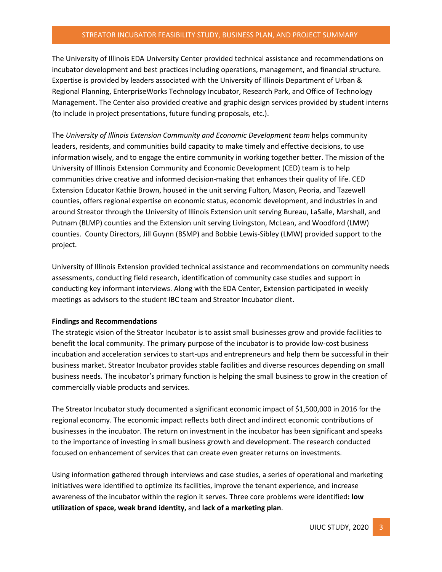### STREATOR INCUBATOR FEASIBILITY STUDY, BUSINESS PLAN, AND PROJECT SUMMARY

The University of Illinois EDA University Center provided technical assistance and recommendations on incubator development and best practices including operations, management, and financial structure. Expertise is provided by leaders associated with the University of Illinois Department of Urban & Regional Planning, EnterpriseWorks Technology Incubator, Research Park, and Office of Technology Management. The Center also provided creative and graphic design services provided by student interns (to include in project presentations, future funding proposals, etc.).

The *University of Illinois Extension Community and Economic Development team* helps community leaders, residents, and communities build capacity to make timely and effective decisions, to use information wisely, and to engage the entire community in working together better. The mission of the University of Illinois Extension Community and Economic Development (CED) team is to help communities drive creative and informed decision-making that enhances their quality of life. CED Extension Educator Kathie Brown, housed in the unit serving Fulton, Mason, Peoria, and Tazewell counties, offers regional expertise on economic status, economic development, and industries in and around Streator through the University of Illinois Extension unit serving Bureau, LaSalle, Marshall, and Putnam (BLMP) counties and the Extension unit serving Livingston, McLean, and Woodford (LMW) counties. County Directors, Jill Guynn (BSMP) and Bobbie Lewis-Sibley (LMW) provided support to the project.

University of Illinois Extension provided technical assistance and recommendations on community needs assessments, conducting field research, identification of community case studies and support in conducting key informant interviews. Along with the EDA Center, Extension participated in weekly meetings as advisors to the student IBC team and Streator Incubator client.

#### **Findings and Recommendations**

The strategic vision of the Streator Incubator is to assist small businesses grow and provide facilities to benefit the local community. The primary purpose of the incubator is to provide low-cost business incubation and acceleration services to start-ups and entrepreneurs and help them be successful in their business market. Streator Incubator provides stable facilities and diverse resources depending on small business needs. The incubator's primary function is helping the small business to grow in the creation of commercially viable products and services.

The Streator Incubator study documented a significant economic impact of \$1,500,000 in 2016 for the regional economy. The economic impact reflects both direct and indirect economic contributions of businesses in the incubator. The return on investment in the incubator has been significant and speaks to the importance of investing in small business growth and development. The research conducted focused on enhancement of services that can create even greater returns on investments.

Using information gathered through interviews and case studies, a series of operational and marketing initiatives were identified to optimize its facilities, improve the tenant experience, and increase awareness of the incubator within the region it serves. Three core problems were identified**: low utilization of space, weak brand identity,** and **lack of a marketing plan**.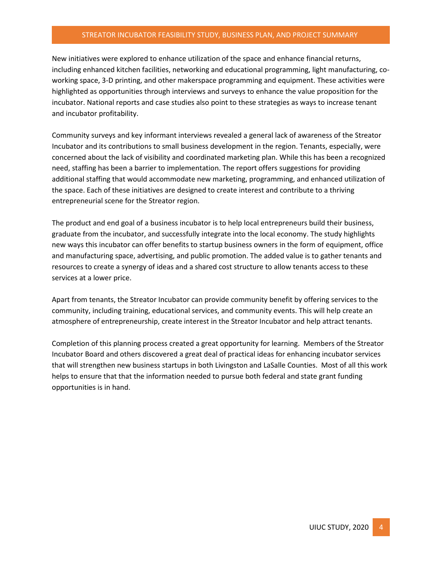# STREATOR INCUBATOR FEASIBILITY STUDY, BUSINESS PLAN, AND PROJECT SUMMARY

New initiatives were explored to enhance utilization of the space and enhance financial returns, including enhanced kitchen facilities, networking and educational programming, light manufacturing, coworking space, 3-D printing, and other makerspace programming and equipment. These activities were highlighted as opportunities through interviews and surveys to enhance the value proposition for the incubator. National reports and case studies also point to these strategies as ways to increase tenant and incubator profitability.

Community surveys and key informant interviews revealed a general lack of awareness of the Streator Incubator and its contributions to small business development in the region. Tenants, especially, were concerned about the lack of visibility and coordinated marketing plan. While this has been a recognized need, staffing has been a barrier to implementation. The report offers suggestions for providing additional staffing that would accommodate new marketing, programming, and enhanced utilization of the space. Each of these initiatives are designed to create interest and contribute to a thriving entrepreneurial scene for the Streator region.

The product and end goal of a business incubator is to help local entrepreneurs build their business, graduate from the incubator, and successfully integrate into the local economy. The study highlights new ways this incubator can offer benefits to startup business owners in the form of equipment, office and manufacturing space, advertising, and public promotion. The added value is to gather tenants and resources to create a synergy of ideas and a shared cost structure to allow tenants access to these services at a lower price.

Apart from tenants, the Streator Incubator can provide community benefit by offering services to the community, including training, educational services, and community events. This will help create an atmosphere of entrepreneurship, create interest in the Streator Incubator and help attract tenants.

Completion of this planning process created a great opportunity for learning. Members of the Streator Incubator Board and others discovered a great deal of practical ideas for enhancing incubator services that will strengthen new business startups in both Livingston and LaSalle Counties. Most of all this work helps to ensure that that the information needed to pursue both federal and state grant funding opportunities is in hand.